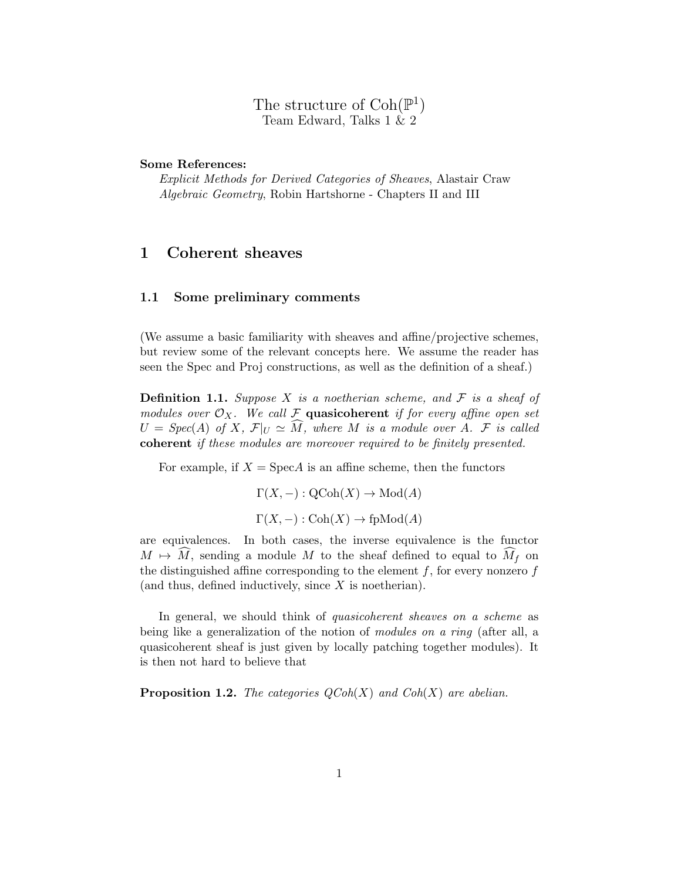The structure of  $\text{Coh}(\mathbb{P}^1)$ Team Edward, Talks 1 & 2

## Some References:

Explicit Methods for Derived Categories of Sheaves, Alastair Craw Algebraic Geometry, Robin Hartshorne - Chapters II and III

## 1 Coherent sheaves

#### 1.1 Some preliminary comments

(We assume a basic familiarity with sheaves and affine/projective schemes, but review some of the relevant concepts here. We assume the reader has seen the Spec and Proj constructions, as well as the definition of a sheaf.)

**Definition 1.1.** Suppose X is a noetherian scheme, and  $\mathcal F$  is a sheaf of modules over  $\mathcal{O}_X$ . We call F quasicoherent if for every affine open set  $U = Spec(A)$  of X,  $\mathcal{F}|_U \simeq \tilde{M}$ , where M is a module over A. F is called coherent if these modules are moreover required to be finitely presented.

For example, if  $X = \text{Spec} A$  is an affine scheme, then the functors

$$
\Gamma(X, -) : \text{QCoh}(X) \to \text{Mod}(A)
$$
  

$$
\Gamma(X, -) : \text{Coh}(X) \to \text{fpMod}(A)
$$

are equivalences. In both cases, the inverse equivalence is the functor  $M \mapsto M$ , sending a module M to the sheaf defined to equal to  $M_f$  on the distinguished affine corresponding to the element  $f$ , for every nonzero  $f$ (and thus, defined inductively, since  $X$  is noetherian).

In general, we should think of *quasicoherent sheaves on a scheme* as being like a generalization of the notion of *modules on a ring* (after all, a quasicoherent sheaf is just given by locally patching together modules). It is then not hard to believe that

**Proposition 1.2.** The categories  $QCoh(X)$  and  $Coh(X)$  are abelian.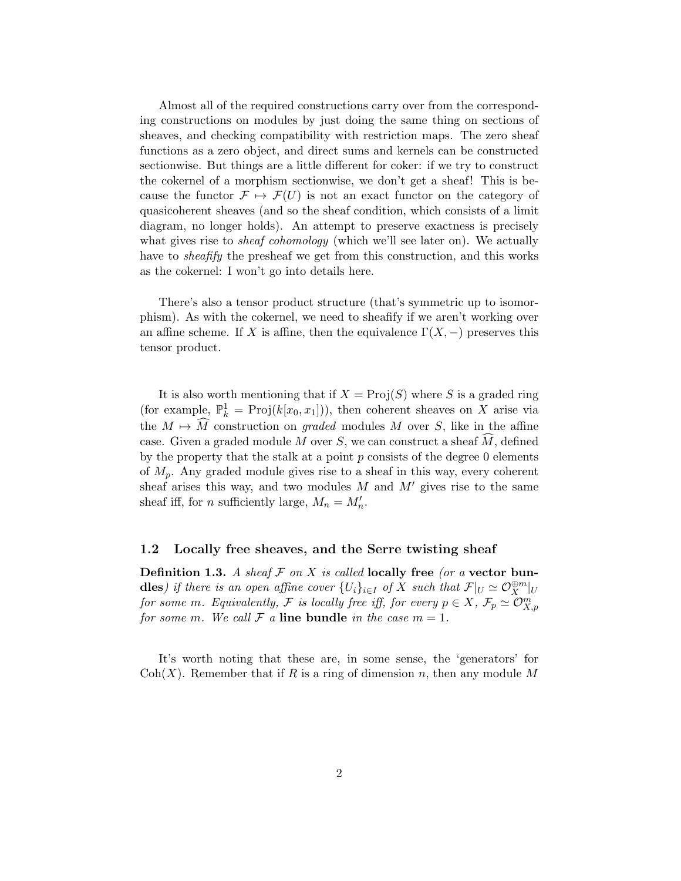Almost all of the required constructions carry over from the corresponding constructions on modules by just doing the same thing on sections of sheaves, and checking compatibility with restriction maps. The zero sheaf functions as a zero object, and direct sums and kernels can be constructed sectionwise. But things are a little different for coker: if we try to construct the cokernel of a morphism sectionwise, we don't get a sheaf! This is because the functor  $\mathcal{F} \mapsto \mathcal{F}(U)$  is not an exact functor on the category of quasicoherent sheaves (and so the sheaf condition, which consists of a limit diagram, no longer holds). An attempt to preserve exactness is precisely what gives rise to *sheaf cohomology* (which we'll see later on). We actually have to sheafify the presheaf we get from this construction, and this works as the cokernel: I won't go into details here.

There's also a tensor product structure (that's symmetric up to isomorphism). As with the cokernel, we need to sheafify if we aren't working over an affine scheme. If X is affine, then the equivalence  $\Gamma(X, -)$  preserves this tensor product.

It is also worth mentioning that if  $X = \text{Proj}(S)$  where S is a graded ring (for example,  $\mathbb{P}_k^1 = \text{Proj}(k[x_0, x_1])$ ), then coherent sheaves on X arise via the  $M \mapsto \widehat{M}$  construction on graded modules M over S, like in the affine case. Given a graded module M over S, we can construct a sheaf  $\widetilde{M}$ , defined by the property that the stalk at a point  $p$  consists of the degree 0 elements of  $M_p$ . Any graded module gives rise to a sheaf in this way, every coherent sheaf arises this way, and two modules  $M$  and  $M'$  gives rise to the same sheaf iff, for *n* sufficiently large,  $M_n = M'_n$ .

#### 1.2 Locally free sheaves, and the Serre twisting sheaf

**Definition 1.3.** A sheaf F on X is called locally free (or a vector bun**dles**) if there is an open affine cover  $\{U_i\}_{i\in I}$  of X such that  $\mathcal{F}|_U \simeq \mathcal{O}_X^{\oplus m}|_U$ for some m. Equivalently, F is locally free iff, for every  $p \in X$ ,  $\mathcal{F}_p \simeq \mathcal{O}_{X,p}^m$ for some m. We call  $\mathcal F$  a line bundle in the case  $m = 1$ .

It's worth noting that these are, in some sense, the 'generators' for  $Coh(X)$ . Remember that if R is a ring of dimension n, then any module M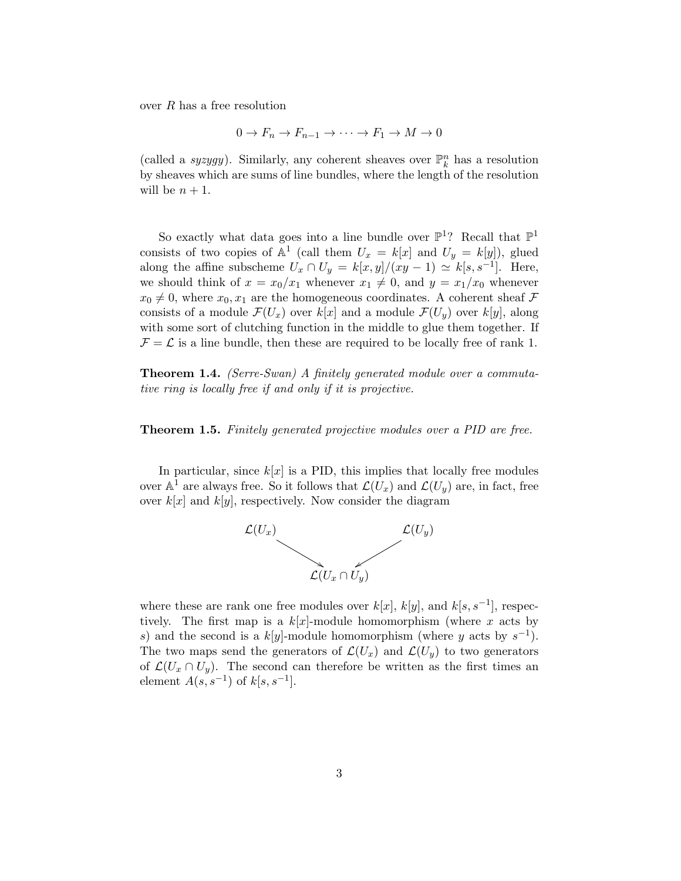over R has a free resolution

$$
0 \to F_n \to F_{n-1} \to \cdots \to F_1 \to M \to 0
$$

(called a *syzygy*). Similarly, any coherent sheaves over  $\mathbb{P}_k^n$  has a resolution by sheaves which are sums of line bundles, where the length of the resolution will be  $n + 1$ .

So exactly what data goes into a line bundle over  $\mathbb{P}^1$ ? Recall that  $\mathbb{P}^1$ consists of two copies of  $\mathbb{A}^1$  (call them  $U_x = k[x]$  and  $U_y = k[y]$ ), glued along the affine subscheme  $U_x \cap U_y = k[x, y]/(xy - 1) \simeq k[s, s^{-1}]$ . Here, we should think of  $x = x_0/x_1$  whenever  $x_1 \neq 0$ , and  $y = x_1/x_0$  whenever  $x_0 \neq 0$ , where  $x_0, x_1$  are the homogeneous coordinates. A coherent sheaf F consists of a module  $\mathcal{F}(U_x)$  over  $k[x]$  and a module  $\mathcal{F}(U_y)$  over  $k[y]$ , along with some sort of clutching function in the middle to glue them together. If  $\mathcal{F} = \mathcal{L}$  is a line bundle, then these are required to be locally free of rank 1.

Theorem 1.4. (Serre-Swan) A finitely generated module over a commutative ring is locally free if and only if it is projective.

Theorem 1.5. Finitely generated projective modules over a PID are free.

In particular, since  $k[x]$  is a PID, this implies that locally free modules over  $\mathbb{A}^1$  are always free. So it follows that  $\mathcal{L}(U_x)$  and  $\mathcal{L}(U_y)$  are, in fact, free over  $k[x]$  and  $k[y]$ , respectively. Now consider the diagram



where these are rank one free modules over  $k[x]$ ,  $k[y]$ , and  $k[s, s^{-1}]$ , respectively. The first map is a  $k[x]$ -module homomorphism (where x acts by s) and the second is a  $k[y]$ -module homomorphism (where y acts by  $s^{-1}$ ). The two maps send the generators of  $\mathcal{L}(U_x)$  and  $\mathcal{L}(U_y)$  to two generators of  $\mathcal{L}(U_x \cap U_y)$ . The second can therefore be written as the first times an element  $A(s, s^{-1})$  of  $k[s, s^{-1}]$ .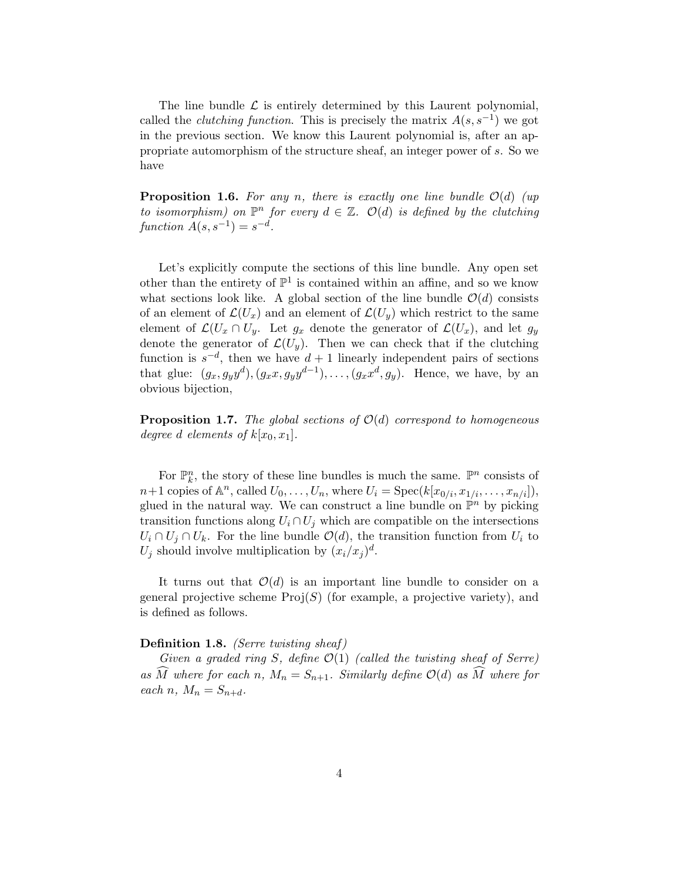The line bundle  $\mathcal L$  is entirely determined by this Laurent polynomial, called the *clutching function*. This is precisely the matrix  $A(s, s^{-1})$  we got in the previous section. We know this Laurent polynomial is, after an appropriate automorphism of the structure sheaf, an integer power of s. So we have

**Proposition 1.6.** For any n, there is exactly one line bundle  $\mathcal{O}(d)$  (up to isomorphism) on  $\mathbb{P}^n$  for every  $d \in \mathbb{Z}$ .  $\mathcal{O}(d)$  is defined by the clutching function  $A(s, s^{-1}) = s^{-d}$ .

Let's explicitly compute the sections of this line bundle. Any open set other than the entirety of  $\mathbb{P}^1$  is contained within an affine, and so we know what sections look like. A global section of the line bundle  $\mathcal{O}(d)$  consists of an element of  $\mathcal{L}(U_x)$  and an element of  $\mathcal{L}(U_y)$  which restrict to the same element of  $\mathcal{L}(U_x \cap U_y)$ . Let  $g_x$  denote the generator of  $\mathcal{L}(U_x)$ , and let  $g_y$ denote the generator of  $\mathcal{L}(U_{y})$ . Then we can check that if the clutching function is  $s^{-d}$ , then we have  $d+1$  linearly independent pairs of sections that glue:  $(g_x, g_y y^d), (g_x x, g_y y^{d-1}), \ldots, (g_x x^d, g_y)$ . Hence, we have, by an obvious bijection,

**Proposition 1.7.** The global sections of  $\mathcal{O}(d)$  correspond to homogeneous degree d elements of  $k[x_0, x_1]$ .

For  $\mathbb{P}_k^n$ , the story of these line bundles is much the same.  $\mathbb{P}^n$  consists of  $n+1$  copies of  $\mathbb{A}^n$ , called  $U_0, \ldots, U_n$ , where  $U_i = \text{Spec}(k[x_{0/i}, x_{1/i}, \ldots, x_{n/i}]),$ glued in the natural way. We can construct a line bundle on  $\mathbb{P}^n$  by picking transition functions along  $U_i \cap U_j$  which are compatible on the intersections  $U_i \cap U_j \cap U_k$ . For the line bundle  $\mathcal{O}(d)$ , the transition function from  $U_i$  to  $U_j$  should involve multiplication by  $(x_i/x_j)^d$ .

It turns out that  $\mathcal{O}(d)$  is an important line bundle to consider on a general projective scheme  $\text{Proj}(S)$  (for example, a projective variety), and is defined as follows.

## Definition 1.8. (Serre twisting sheaf)

Given a graded ring S, define  $\mathcal{O}(1)$  (called the twisting sheaf of Serre) as  $\widehat{M}$  where for each n,  $M_n = S_{n+1}$ . Similarly define  $\mathcal{O}(d)$  as  $\widehat{M}$  where for each n,  $M_n = S_{n+d}$ .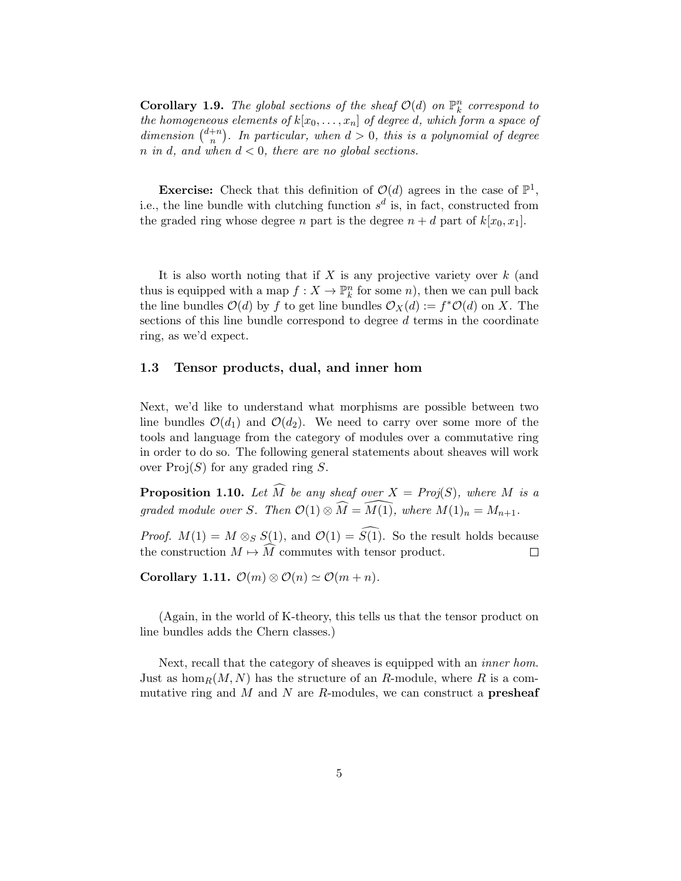**Corollary 1.9.** The global sections of the sheaf  $\mathcal{O}(d)$  on  $\mathbb{P}_k^n$  correspond to the homogeneous elements of  $k[x_0, \ldots, x_n]$  of degree d, which form a space of dimension  $\binom{d+n}{n}$  $\binom{+n}{n}$ . In particular, when  $d > 0$ , this is a polynomial of degree  $n \text{ in } d$ , and when  $d < 0$ , there are no global sections.

**Exercise:** Check that this definition of  $\mathcal{O}(d)$  agrees in the case of  $\mathbb{P}^1$ , i.e., the line bundle with clutching function  $s^d$  is, in fact, constructed from the graded ring whose degree n part is the degree  $n + d$  part of  $k[x_0, x_1]$ .

It is also worth noting that if  $X$  is any projective variety over  $k$  (and thus is equipped with a map  $f: X \to \mathbb{P}_k^n$  for some n), then we can pull back the line bundles  $\mathcal{O}(d)$  by f to get line bundles  $\mathcal{O}_X(d) := f^* \mathcal{O}(d)$  on X. The sections of this line bundle correspond to degree d terms in the coordinate ring, as we'd expect.

## 1.3 Tensor products, dual, and inner hom

Next, we'd like to understand what morphisms are possible between two line bundles  $\mathcal{O}(d_1)$  and  $\mathcal{O}(d_2)$ . We need to carry over some more of the tools and language from the category of modules over a commutative ring in order to do so. The following general statements about sheaves will work over  $Proj(S)$  for any graded ring S.

**Proposition 1.10.** Let  $\widehat{M}$  be any sheaf over  $X = Proj(S)$ , where M is a graded module over S. Then  $\mathcal{O}(1) \otimes \widehat{M} = \widehat{M(1)}$ , where  $M(1)_n = M_{n+1}$ .

*Proof.*  $M(1) = M \otimes_S S(1)$ , and  $\mathcal{O}(1) = \widehat{S(1)}$ . So the result holds because the construction  $M \mapsto \widehat{M}$  commutes with tensor product. the construction  $M \mapsto \overline{M}$  commutes with tensor product.

Corollary 1.11.  $\mathcal{O}(m) \otimes \mathcal{O}(n) \simeq \mathcal{O}(m + n)$ .

(Again, in the world of K-theory, this tells us that the tensor product on line bundles adds the Chern classes.)

Next, recall that the category of sheaves is equipped with an *inner hom*. Just as hom<sub>R</sub> $(M, N)$  has the structure of an R-module, where R is a commutative ring and  $M$  and  $N$  are  $R$ -modules, we can construct a **presheaf**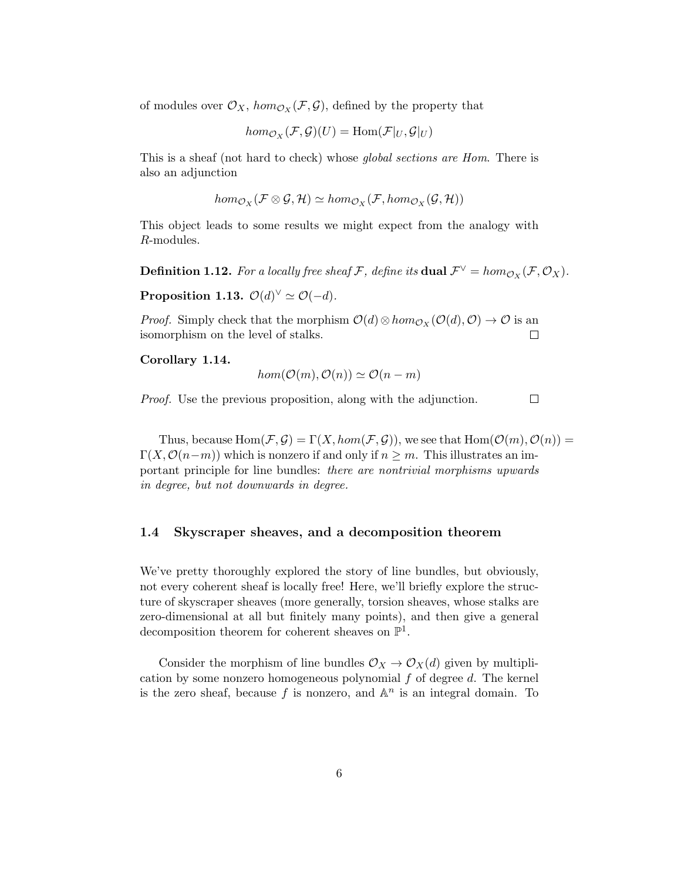of modules over  $\mathcal{O}_X$ ,  $hom_{\mathcal{O}_X}(\mathcal{F}, \mathcal{G})$ , defined by the property that

$$
hom_{\mathcal{O}_X}(\mathcal{F}, \mathcal{G})(U) = \text{Hom}(\mathcal{F}|_U, \mathcal{G}|_U)
$$

This is a sheaf (not hard to check) whose global sections are Hom. There is also an adjunction

$$
hom_{\mathcal{O}_X}(\mathcal{F}\otimes\mathcal{G},\mathcal{H})\simeq hom_{\mathcal{O}_X}(\mathcal{F},hom_{\mathcal{O}_X}(\mathcal{G},\mathcal{H}))
$$

This object leads to some results we might expect from the analogy with R-modules.

**Definition 1.12.** For a locally free sheaf F, define its **dual**  $\mathcal{F}^{\vee} = hom_{\mathcal{O}_X}(\mathcal{F}, \mathcal{O}_X)$ .

Proposition 1.13.  $\mathcal{O}(d)^{\vee} \simeq \mathcal{O}(-d)$ .

*Proof.* Simply check that the morphism  $\mathcal{O}(d) \otimes hom_{\mathcal{O}_X}(\mathcal{O}(d), \mathcal{O}) \to \mathcal{O}$  is an isomorphism on the level of stalks.  $\Box$ 

Corollary 1.14.

$$
hom(\mathcal{O}(m), \mathcal{O}(n)) \simeq \mathcal{O}(n-m)
$$

Proof. Use the previous proposition, along with the adjunction.

 $\Box$ 

Thus, because  $Hom(\mathcal{F}, \mathcal{G}) = \Gamma(X, hom(\mathcal{F}, \mathcal{G}))$ , we see that  $Hom(\mathcal{O}(m), \mathcal{O}(n)) =$  $\Gamma(X, \mathcal{O}(n-m))$  which is nonzero if and only if  $n \geq m$ . This illustrates an important principle for line bundles: there are nontrivial morphisms upwards in degree, but not downwards in degree.

## 1.4 Skyscraper sheaves, and a decomposition theorem

We've pretty thoroughly explored the story of line bundles, but obviously, not every coherent sheaf is locally free! Here, we'll briefly explore the structure of skyscraper sheaves (more generally, torsion sheaves, whose stalks are zero-dimensional at all but finitely many points), and then give a general decomposition theorem for coherent sheaves on  $\mathbb{P}^1$ .

Consider the morphism of line bundles  $\mathcal{O}_X \to \mathcal{O}_X(d)$  given by multiplication by some nonzero homogeneous polynomial  $f$  of degree  $d$ . The kernel is the zero sheaf, because f is nonzero, and  $\mathbb{A}^n$  is an integral domain. To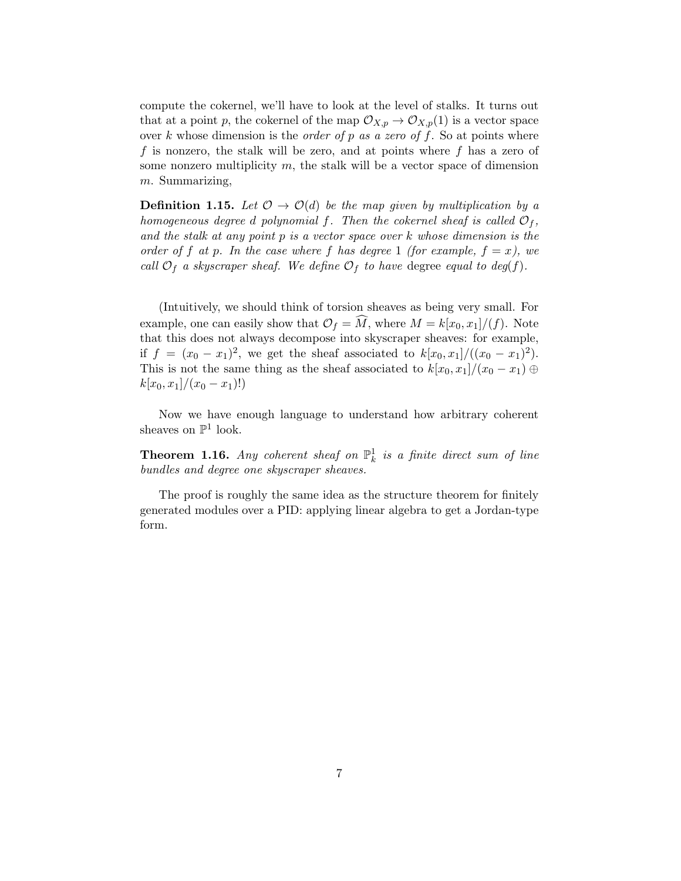compute the cokernel, we'll have to look at the level of stalks. It turns out that at a point p, the cokernel of the map  $\mathcal{O}_{X,p} \to \mathcal{O}_{X,p}(1)$  is a vector space over k whose dimension is the *order of* p as a zero of f. So at points where f is nonzero, the stalk will be zero, and at points where f has a zero of some nonzero multiplicity  $m$ , the stalk will be a vector space of dimension m. Summarizing,

**Definition 1.15.** Let  $\mathcal{O} \to \mathcal{O}(d)$  be the map given by multiplication by a homogeneous degree d polynomial f. Then the cokernel sheaf is called  $\mathcal{O}_f$ , and the stalk at any point  $p$  is a vector space over  $k$  whose dimension is the order of f at p. In the case where f has degree 1 (for example,  $f = x$ ), we call  $\mathcal{O}_f$  a skyscraper sheaf. We define  $\mathcal{O}_f$  to have degree equal to deg(f).

(Intuitively, we should think of torsion sheaves as being very small. For example, one can easily show that  $\mathcal{O}_f = \widehat{M}$ , where  $M = k[x_0, x_1]/(f)$ . Note that this does not always decompose into skyscraper sheaves: for example, if  $f = (x_0 - x_1)^2$ , we get the sheaf associated to  $k[x_0, x_1]/((x_0 - x_1)^2)$ . This is not the same thing as the sheaf associated to  $k[x_0, x_1]/(x_0 - x_1) \oplus$  $k[x_0, x_1]/(x_0 - x_1)!$ 

Now we have enough language to understand how arbitrary coherent sheaves on  $\mathbb{P}^1$  look.

**Theorem 1.16.** Any coherent sheaf on  $\mathbb{P}^1_k$  is a finite direct sum of line bundles and degree one skyscraper sheaves.

The proof is roughly the same idea as the structure theorem for finitely generated modules over a PID: applying linear algebra to get a Jordan-type form.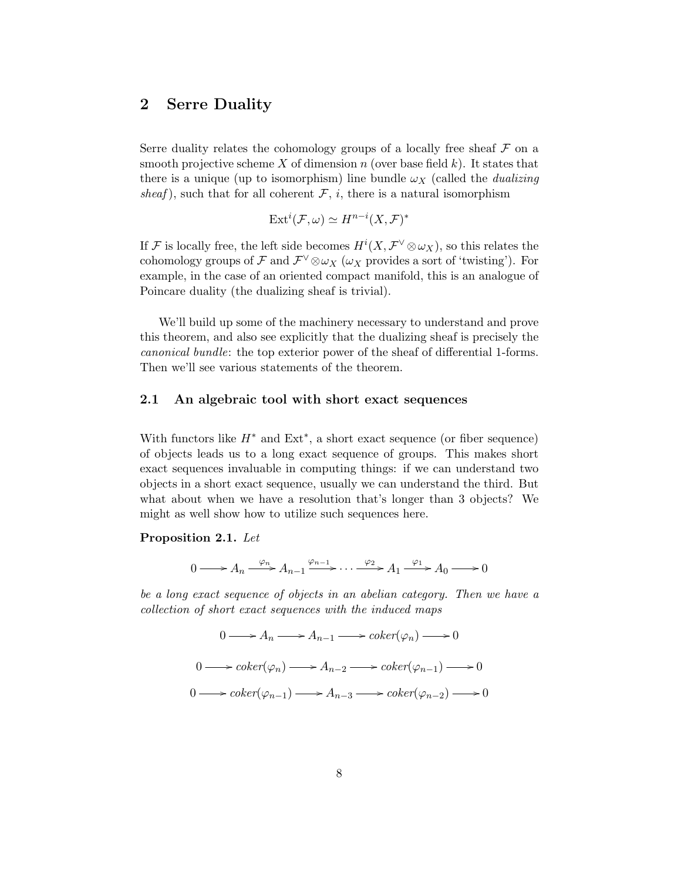## 2 Serre Duality

Serre duality relates the cohomology groups of a locally free sheaf  $\mathcal F$  on a smooth projective scheme X of dimension  $n$  (over base field  $k$ ). It states that there is a unique (up to isomorphism) line bundle  $\omega_X$  (called the *dualizing* sheaf), such that for all coherent  $\mathcal{F}, i$ , there is a natural isomorphism

$$
Ext^{i}(\mathcal{F},\omega) \simeq H^{n-i}(X,\mathcal{F})^{*}
$$

If F is locally free, the left side becomes  $H^i(X, \mathcal{F}^{\vee} \otimes \omega_X)$ , so this relates the cohomology groups of F and  $\mathcal{F}^{\vee} \otimes \omega_X$  ( $\omega_X$  provides a sort of 'twisting'). For example, in the case of an oriented compact manifold, this is an analogue of Poincare duality (the dualizing sheaf is trivial).

We'll build up some of the machinery necessary to understand and prove this theorem, and also see explicitly that the dualizing sheaf is precisely the canonical bundle: the top exterior power of the sheaf of differential 1-forms. Then we'll see various statements of the theorem.

## 2.1 An algebraic tool with short exact sequences

With functors like  $H^*$  and  $Ext^*$ , a short exact sequence (or fiber sequence) of objects leads us to a long exact sequence of groups. This makes short exact sequences invaluable in computing things: if we can understand two objects in a short exact sequence, usually we can understand the third. But what about when we have a resolution that's longer than 3 objects? We might as well show how to utilize such sequences here.

#### Proposition 2.1. Let

$$
0 \longrightarrow A_n \xrightarrow{\varphi_n} A_{n-1} \xrightarrow{\varphi_{n-1}} \cdots \xrightarrow{\varphi_2} A_1 \xrightarrow{\varphi_1} A_0 \longrightarrow 0
$$

be a long exact sequence of objects in an abelian category. Then we have a collection of short exact sequences with the induced maps

> $0 \longrightarrow A_n \longrightarrow A_{n-1} \longrightarrow coker(\varphi_n) \longrightarrow 0$  $0 \longrightarrow coker(\varphi_n) \longrightarrow A_{n-2} \longrightarrow coker(\varphi_{n-1}) \longrightarrow 0$  $0 \longrightarrow coker(\varphi_{n-1}) \longrightarrow A_{n-3} \longrightarrow coker(\varphi_{n-2}) \longrightarrow 0$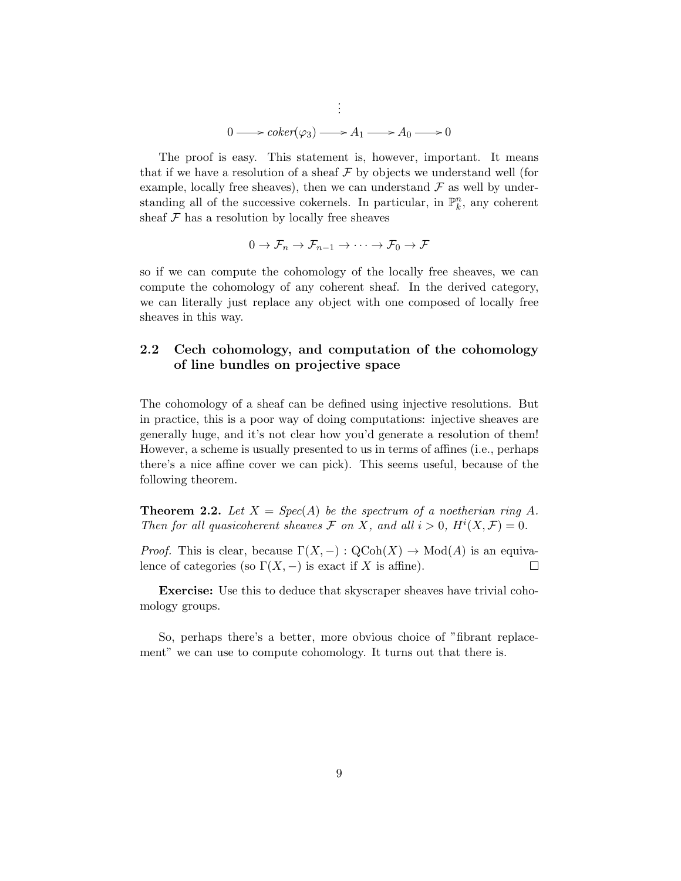$$
\vdots
$$
  
0  $\longrightarrow coker(\varphi_3) \longrightarrow A_1 \longrightarrow A_0 \longrightarrow 0$ 

The proof is easy. This statement is, however, important. It means that if we have a resolution of a sheaf  $\mathcal F$  by objects we understand well (for example, locally free sheaves), then we can understand  $\mathcal F$  as well by understanding all of the successive cokernels. In particular, in  $\mathbb{P}_k^n$ , any coherent sheaf  $\mathcal F$  has a resolution by locally free sheaves

$$
0 \to \mathcal{F}_n \to \mathcal{F}_{n-1} \to \cdots \to \mathcal{F}_0 \to \mathcal{F}
$$

so if we can compute the cohomology of the locally free sheaves, we can compute the cohomology of any coherent sheaf. In the derived category, we can literally just replace any object with one composed of locally free sheaves in this way.

## 2.2 Cech cohomology, and computation of the cohomology of line bundles on projective space

The cohomology of a sheaf can be defined using injective resolutions. But in practice, this is a poor way of doing computations: injective sheaves are generally huge, and it's not clear how you'd generate a resolution of them! However, a scheme is usually presented to us in terms of affines (i.e., perhaps there's a nice affine cover we can pick). This seems useful, because of the following theorem.

**Theorem 2.2.** Let  $X = Spec(A)$  be the spectrum of a noetherian ring A. Then for all quasicoherent sheaves  $\mathcal F$  on X, and all  $i > 0$ ,  $H^i(X, \mathcal F) = 0$ .

*Proof.* This is clear, because  $\Gamma(X, -) : \text{QCoh}(X) \to \text{Mod}(A)$  is an equivalence of categories (so  $\Gamma(X, -)$ ) is exact if X is affine).  $\Box$ 

Exercise: Use this to deduce that skyscraper sheaves have trivial cohomology groups.

So, perhaps there's a better, more obvious choice of "fibrant replacement" we can use to compute cohomology. It turns out that there is.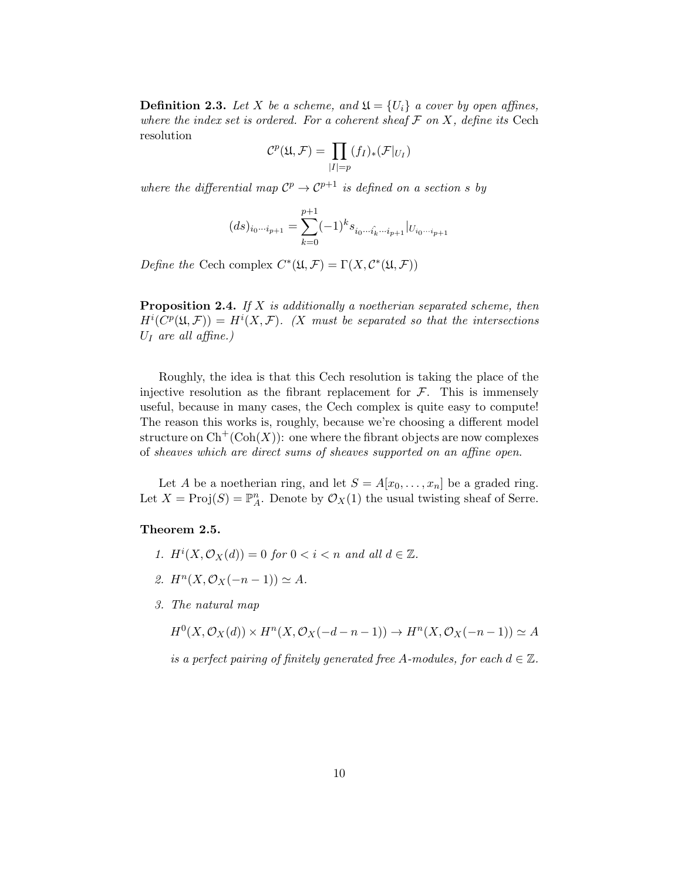**Definition 2.3.** Let X be a scheme, and  $\mathfrak{U} = \{U_i\}$  a cover by open affines, where the index set is ordered. For a coherent sheaf  $\mathcal F$  on X, define its Cech resolution

$$
C^p(\mathfrak{U}, \mathcal{F}) = \prod_{|I|=p} (f_I)_*(\mathcal{F}|_{U_I})
$$

where the differential map  $\mathcal{C}^p \to \mathcal{C}^{p+1}$  is defined on a section s by

$$
(ds)_{i_0\cdots i_{p+1}} = \sum_{k=0}^{p+1} (-1)^k s_{i_0\cdots \hat{i_k}\cdots i_{p+1}} |_{U_{i_0\cdots i_{p+1}}}
$$

Define the Cech complex  $C^*(\mathfrak{U}, \mathcal{F}) = \Gamma(X, \mathcal{C}^*(\mathfrak{U}, \mathcal{F}))$ 

**Proposition 2.4.** If  $X$  is additionally a noetherian separated scheme, then  $H^{i}(C^{p}(\mathfrak{U},\mathcal{F}))=H^{i}(X,\mathcal{F}).$  (X must be separated so that the intersections  $U_I$  are all affine.)

Roughly, the idea is that this Cech resolution is taking the place of the injective resolution as the fibrant replacement for  $\mathcal{F}$ . This is immensely useful, because in many cases, the Cech complex is quite easy to compute! The reason this works is, roughly, because we're choosing a different model structure on  $\mathrm{Ch}^+(\mathrm{Coh}(X))$ : one where the fibrant objects are now complexes of sheaves which are direct sums of sheaves supported on an affine open.

Let A be a noetherian ring, and let  $S = A[x_0, \ldots, x_n]$  be a graded ring. Let  $X = \text{Proj}(S) = \mathbb{P}_{A}^{n}$ . Denote by  $\mathcal{O}_{X}(1)$  the usual twisting sheaf of Serre.

## Theorem 2.5.

- 1.  $H^i(X, \mathcal{O}_X(d)) = 0$  for  $0 < i < n$  and all  $d \in \mathbb{Z}$ .
- 2.  $H^n(X, \mathcal{O}_X(-n-1)) \simeq A$ .
- 3. The natural map

 $H^0(X, \mathcal{O}_X(d)) \times H^n(X, \mathcal{O}_X(-d-n-1)) \to H^n(X, \mathcal{O}_X(-n-1)) \simeq A$ 

is a perfect pairing of finitely generated free A-modules, for each  $d \in \mathbb{Z}$ .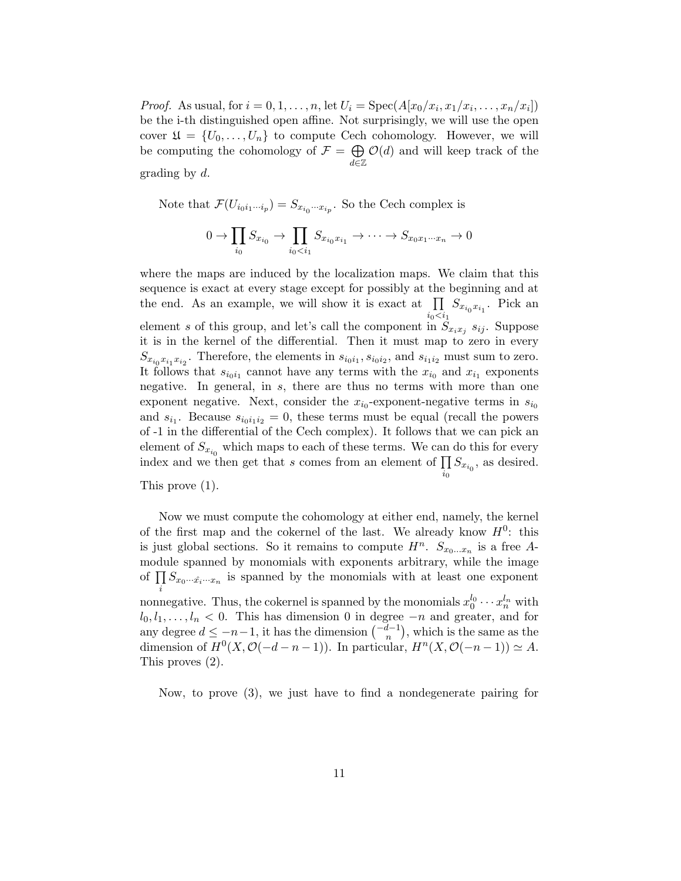*Proof.* As usual, for  $i = 0, 1, \ldots, n$ , let  $U_i = \text{Spec}(A[x_0/x_i, x_1/x_i, \ldots, x_n/x_i])$ be the i-th distinguished open affine. Not surprisingly, we will use the open cover  $\mathfrak{U} = \{U_0, \ldots, U_n\}$  to compute Cech cohomology. However, we will be computing the cohomology of  $\mathcal{F} = \bigoplus$ d∈Z  $\mathcal{O}(d)$  and will keep track of the grading by d.

Note that  $\mathcal{F}(U_{i_0i_1\cdots i_p}) = S_{x_{i_0}\cdots x_{i_p}}$ . So the Cech complex is

$$
0 \to \prod_{i_0} S_{x_{i_0}} \to \prod_{i_0 < i_1} S_{x_{i_0} x_{i_1}} \to \cdots \to S_{x_0 x_1 \cdots x_n} \to 0
$$

where the maps are induced by the localization maps. We claim that this sequence is exact at every stage except for possibly at the beginning and at the end. As an example, we will show it is exact at  $\prod$  $\prod_{i_0 < i_1} S_{x_{i_0} x_{i_1}}$ . Pick an element s of this group, and let's call the component in  $S_{x_ix_j}$   $s_{ij}$ . Suppose it is in the kernel of the differential. Then it must map to zero in every  $S_{x_{i_0}x_{i_1}x_{i_2}}$ . Therefore, the elements in  $s_{i_0i_1}, s_{i_0i_2}$ , and  $s_{i_1i_2}$  must sum to zero. It follows that  $s_{i_0i_1}$  cannot have any terms with the  $x_{i_0}$  and  $x_{i_1}$  exponents negative. In general, in s, there are thus no terms with more than one exponent negative. Next, consider the  $x_{i_0}$ -exponent-negative terms in  $s_{i_0}$ and  $s_{i_1}$ . Because  $s_{i_0i_1i_2}=0$ , these terms must be equal (recall the powers of -1 in the differential of the Cech complex). It follows that we can pick an element of  $S_{x_{i_0}}$  which maps to each of these terms. We can do this for every index and we then get that s comes from an element of  $\prod S_{x_{i_0}}$ , as desired.  $i_0$ 

This prove (1).

Now we must compute the cohomology at either end, namely, the kernel of the first map and the cokernel of the last. We already know  $H^0$ : this is just global sections. So it remains to compute  $H^n$ .  $S_{x_0...x_n}$  is a free Amodule spanned by monomials with exponents arbitrary, while the image of  $\prod S_{x_0\cdots\hat{x_i}\cdots x_n}$  is spanned by the monomials with at least one exponent i nonnegative. Thus, the cokernel is spanned by the monomials  $x_0^{l_0} \cdots x_n^{l_n}$  with  $l_0, l_1, \ldots, l_n < 0$ . This has dimension 0 in degree  $-n$  and greater, and for any degree  $d \leq -n-1$ , it has the dimension  $\binom{-d-1}{n}$ , which is the same as the dimension of  $H^0(X, \mathcal{O}(-d-n-1))$ . In particular,  $H^n(X, \mathcal{O}(-n-1)) \simeq A$ . This proves  $(2)$ .

Now, to prove (3), we just have to find a nondegenerate pairing for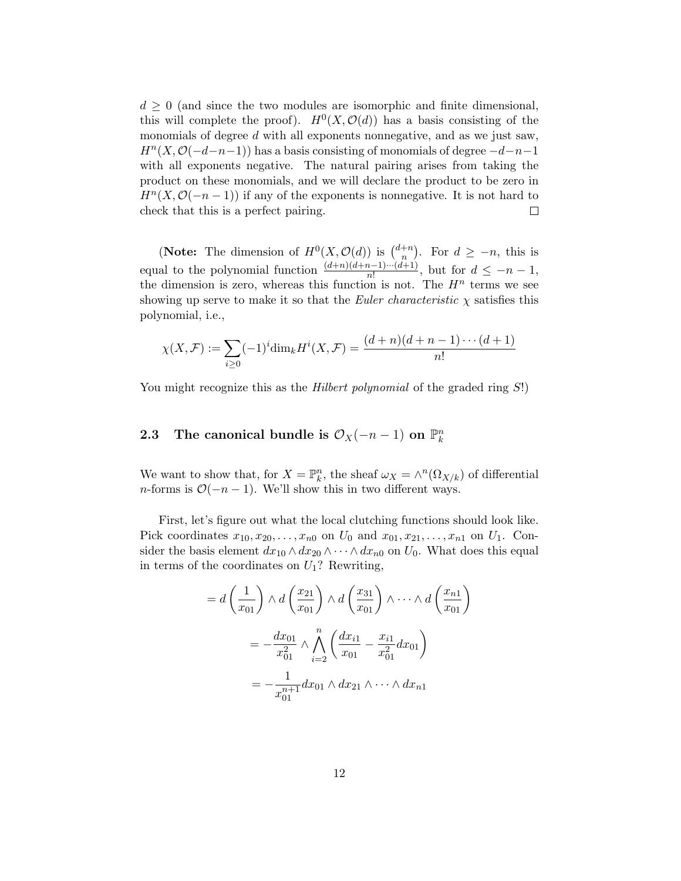$d \geq 0$  (and since the two modules are isomorphic and finite dimensional, this will complete the proof).  $H^0(X, \mathcal{O}(d))$  has a basis consisting of the monomials of degree d with all exponents nonnegative, and as we just saw,  $H<sup>n</sup>(X, \mathcal{O}(-d-n-1))$  has a basis consisting of monomials of degree  $-d-n-1$ with all exponents negative. The natural pairing arises from taking the product on these monomials, and we will declare the product to be zero in  $H<sup>n</sup>(X, \mathcal{O}(-n-1))$  if any of the exponents is nonnegative. It is not hard to check that this is a perfect pairing.  $\Box$ 

(Note: The dimension of  $H^0(X, \mathcal{O}(d))$  is  $\binom{d+n}{n}$  $\binom{+n}{n}$ . For  $d \geq -n$ , this is equal to the polynomial function  $\frac{(d+n)(d+n-1)\cdots(d+1)}{n!}$ , but for  $d \leq -n-1$ , the dimension is zero, whereas this function is not. The  $H^n$  terms we see showing up serve to make it so that the *Euler characteristic*  $\chi$  satisfies this polynomial, i.e.,

$$
\chi(X, \mathcal{F}) := \sum_{i \ge 0} (-1)^i \dim_k H^i(X, \mathcal{F}) = \frac{(d+n)(d+n-1)\cdots(d+1)}{n!}
$$

You might recognize this as the *Hilbert polynomial* of the graded ring S!)

# 2.3 The canonical bundle is  $\mathcal{O}_X(-n-1)$  on  $\mathbb{P}_k^n$

We want to show that, for  $X = \mathbb{P}_k^n$ , the sheaf  $\omega_X = \wedge^n(\Omega_{X/k})$  of differential n-forms is  $\mathcal{O}(-n-1)$ . We'll show this in two different ways.

First, let's figure out what the local clutching functions should look like. Pick coordinates  $x_{10}, x_{20}, \ldots, x_{n0}$  on  $U_0$  and  $x_{01}, x_{21}, \ldots, x_{n1}$  on  $U_1$ . Consider the basis element  $dx_{10} \wedge dx_{20} \wedge \cdots \wedge dx_{n0}$  on  $U_0$ . What does this equal in terms of the coordinates on  $U_1$ ? Rewriting,

$$
= d\left(\frac{1}{x_{01}}\right) \wedge d\left(\frac{x_{21}}{x_{01}}\right) \wedge d\left(\frac{x_{31}}{x_{01}}\right) \wedge \cdots \wedge d\left(\frac{x_{n1}}{x_{01}}\right)
$$

$$
= -\frac{dx_{01}}{x_{01}^2} \wedge \bigwedge_{i=2}^n \left(\frac{dx_{i1}}{x_{01}} - \frac{x_{i1}}{x_{01}^2} dx_{01}\right)
$$

$$
= -\frac{1}{x_{01}^{n+1}} dx_{01} \wedge dx_{21} \wedge \cdots \wedge dx_{n1}
$$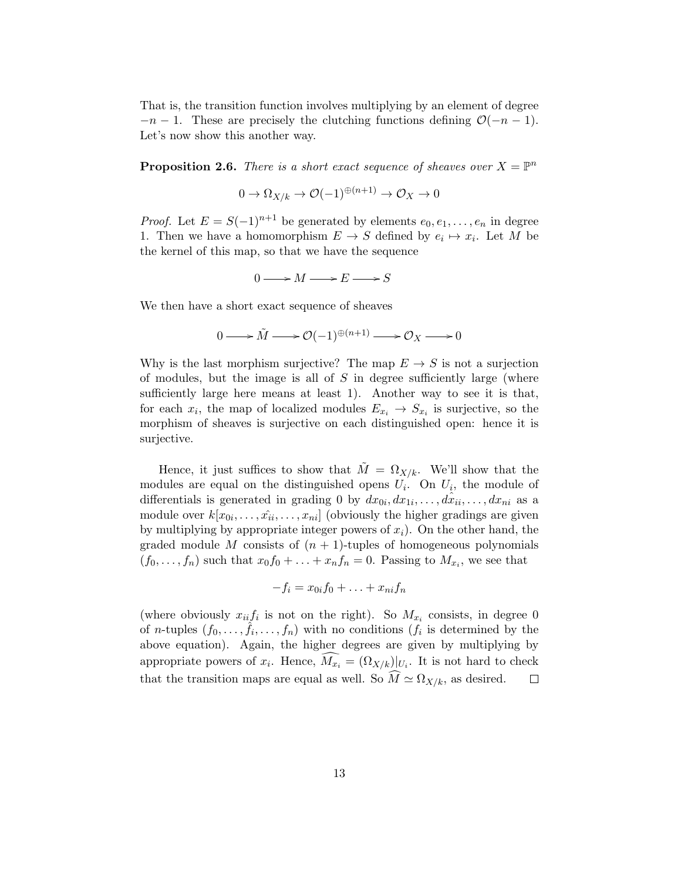That is, the transition function involves multiplying by an element of degree  $-n-1$ . These are precisely the clutching functions defining  $\mathcal{O}(-n-1)$ . Let's now show this another way.

**Proposition 2.6.** There is a short exact sequence of sheaves over  $X = \mathbb{P}^n$ 

$$
0 \to \Omega_{X/k} \to \mathcal{O}(-1)^{\oplus (n+1)} \to \mathcal{O}_X \to 0
$$

*Proof.* Let  $E = S(-1)^{n+1}$  be generated by elements  $e_0, e_1, \ldots, e_n$  in degree 1. Then we have a homomorphism  $E \to S$  defined by  $e_i \mapsto x_i$ . Let M be the kernel of this map, so that we have the sequence

$$
0\longrightarrow M\longrightarrow E\longrightarrow S
$$

We then have a short exact sequence of sheaves

$$
0 \longrightarrow \tilde{M} \longrightarrow \mathcal{O}(-1)^{\oplus (n+1)} \longrightarrow \mathcal{O}_X \longrightarrow 0
$$

Why is the last morphism surjective? The map  $E \to S$  is not a surjection of modules, but the image is all of  $S$  in degree sufficiently large (where sufficiently large here means at least 1). Another way to see it is that, for each  $x_i$ , the map of localized modules  $E_{x_i} \to S_{x_i}$  is surjective, so the morphism of sheaves is surjective on each distinguished open: hence it is surjective.

Hence, it just suffices to show that  $\tilde{M} = \Omega_{X/k}$ . We'll show that the modules are equal on the distinguished opens  $U_i$ . On  $U_i$ , the module of differentials is generated in grading 0 by  $dx_{0i}, dx_{1i}, \ldots, dx_{ii}, \ldots, dx_{ni}$  as a module over  $k[x_{0i}, \ldots, \hat{x}_{ii}, \ldots, x_{ni}]$  (obviously the higher gradings are given by multiplying by appropriate integer powers of  $x_i$ ). On the other hand, the graded module M consists of  $(n + 1)$ -tuples of homogeneous polynomials  $(f_0, \ldots, f_n)$  such that  $x_0 f_0 + \ldots + x_n f_n = 0$ . Passing to  $M_{x_i}$ , we see that

$$
-f_i = x_{0i}f_0 + \ldots + x_{ni}f_n
$$

(where obviously  $x_{ii}f_i$  is not on the right). So  $M_{x_i}$  consists, in degree 0 of *n*-tuples  $(f_0, \ldots, \hat{f_i}, \ldots, f_n)$  with no conditions  $(f_i$  is determined by the above equation). Again, the higher degrees are given by multiplying by appropriate powers of  $x_i$ . Hence,  $M_{x_i} = (\Omega_{X/k})|_{U_i}$ . It is not hard to check that the transition maps are equal as well. So  $\widehat{M} \simeq \Omega_{X/k}$ , as desired.  $\Box$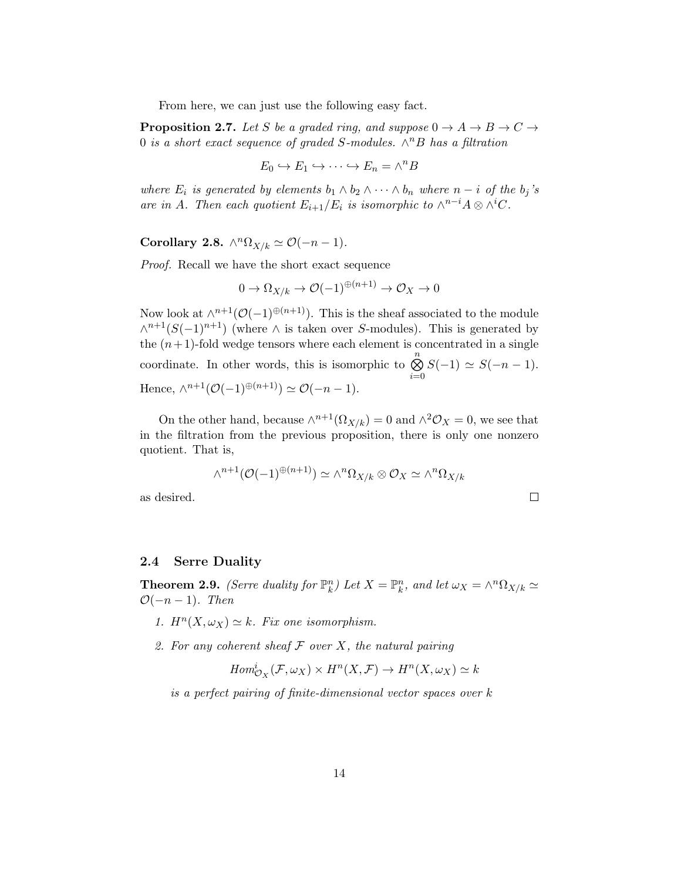From here, we can just use the following easy fact.

**Proposition 2.7.** Let S be a graded ring, and suppose  $0 \rightarrow A \rightarrow B \rightarrow C \rightarrow$ 0 is a short exact sequence of graded S-modules.  $\wedge^n B$  has a filtration

$$
E_0 \hookrightarrow E_1 \hookrightarrow \cdots \hookrightarrow E_n = \wedge^n B
$$

where  $E_i$  is generated by elements  $b_1 \wedge b_2 \wedge \cdots \wedge b_n$  where  $n-i$  of the  $b_j$ 's are in A. Then each quotient  $E_{i+1}/E_i$  is isomorphic to  $\wedge^{n-i} A \otimes \wedge^i C$ .

Corollary 2.8.  $\wedge^n \Omega_{X/k} \simeq \mathcal{O}(-n-1)$ .

Proof. Recall we have the short exact sequence

$$
0 \to \Omega_{X/k} \to \mathcal{O}(-1)^{\oplus (n+1)} \to \mathcal{O}_X \to 0
$$

Now look at  $\wedge^{n+1}(\mathcal{O}(-1)^{\oplus (n+1)})$ . This is the sheaf associated to the module  $\wedge^{n+1}(S(-1)^{n+1})$  (where  $\wedge$  is taken over S-modules). This is generated by the  $(n+1)$ -fold wedge tensors where each element is concentrated in a single coordinate. In other words, this is isomorphic to  $\bigotimes^n$  $i=0$  $S(-1) \simeq S(-n-1).$ Hence,  $\wedge^{n+1}(\mathcal{O}(-1)^{\oplus (n+1)}) \simeq \mathcal{O}(-n-1).$ 

On the other hand, because  $\wedge^{n+1}(\Omega_{X/k}) = 0$  and  $\wedge^2 \mathcal{O}_X = 0$ , we see that in the filtration from the previous proposition, there is only one nonzero quotient. That is,

$$
\wedge^{n+1}(\mathcal{O}(-1)^{\oplus (n+1)}) \simeq \wedge^n \Omega_{X/k} \otimes \mathcal{O}_X \simeq \wedge^n \Omega_{X/k}
$$

 $\Box$ 

as desired.

### 2.4 Serre Duality

**Theorem 2.9.** (Serre duality for  $\mathbb{P}_k^n$ ) Let  $X = \mathbb{P}_k^n$ , and let  $\omega_X = \wedge^n \Omega_{X/k} \simeq$  $\mathcal{O}(-n-1)$ . Then

- 1.  $H^n(X, \omega_X) \simeq k$ . Fix one isomorphism.
- 2. For any coherent sheaf  $\mathcal F$  over  $X$ , the natural pairing

$$
Hom_{\mathcal{O}_X}^i(\mathcal{F}, \omega_X) \times H^n(X, \mathcal{F}) \to H^n(X, \omega_X) \simeq k
$$

is a perfect pairing of finite-dimensional vector spaces over k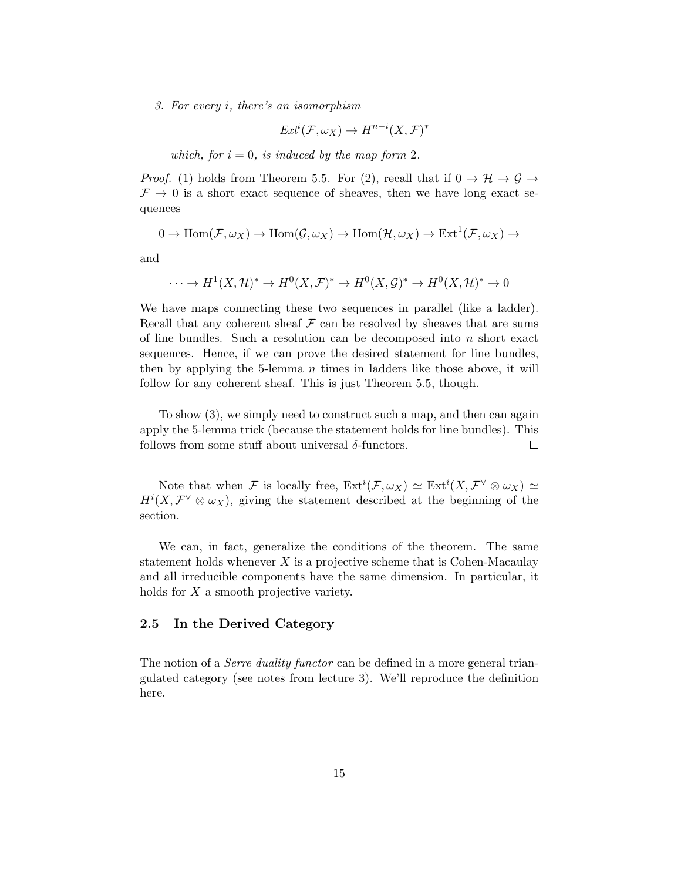3. For every i, there's an isomorphism

$$
Ext^i(\mathcal{F}, \omega_X) \to H^{n-i}(X, \mathcal{F})^*
$$

which, for  $i = 0$ , is induced by the map form 2.

*Proof.* (1) holds from Theorem 5.5. For (2), recall that if  $0 \to \mathcal{H} \to \mathcal{G} \to$  $\mathcal{F} \rightarrow 0$  is a short exact sequence of sheaves, then we have long exact sequences

$$
0 \to \operatorname{Hom}(\mathcal{F}, \omega_X) \to \operatorname{Hom}(\mathcal{G}, \omega_X) \to \operatorname{Hom}(\mathcal{H}, \omega_X) \to \operatorname{Ext}^1(\mathcal{F}, \omega_X) \to
$$

and

$$
\cdots \to H^1(X, \mathcal{H})^* \to H^0(X, \mathcal{F})^* \to H^0(X, \mathcal{G})^* \to H^0(X, \mathcal{H})^* \to 0
$$

We have maps connecting these two sequences in parallel (like a ladder). Recall that any coherent sheaf  $\mathcal F$  can be resolved by sheaves that are sums of line bundles. Such a resolution can be decomposed into  $n$  short exact sequences. Hence, if we can prove the desired statement for line bundles, then by applying the 5-lemma  $n$  times in ladders like those above, it will follow for any coherent sheaf. This is just Theorem 5.5, though.

To show (3), we simply need to construct such a map, and then can again apply the 5-lemma trick (because the statement holds for line bundles). This follows from some stuff about universal  $\delta$ -functors.  $\Box$ 

Note that when F is locally free,  $\mathrm{Ext}^i(\mathcal{F},\omega_X) \simeq \mathrm{Ext}^i(X,\mathcal{F}^{\vee} \otimes \omega_X) \simeq$  $H^{i}(X,\mathcal{F}^{\vee}\otimes \omega_{X}),$  giving the statement described at the beginning of the section.

We can, in fact, generalize the conditions of the theorem. The same statement holds whenever  $X$  is a projective scheme that is Cohen-Macaulay and all irreducible components have the same dimension. In particular, it holds for X a smooth projective variety.

## 2.5 In the Derived Category

The notion of a *Serre duality functor* can be defined in a more general triangulated category (see notes from lecture 3). We'll reproduce the definition here.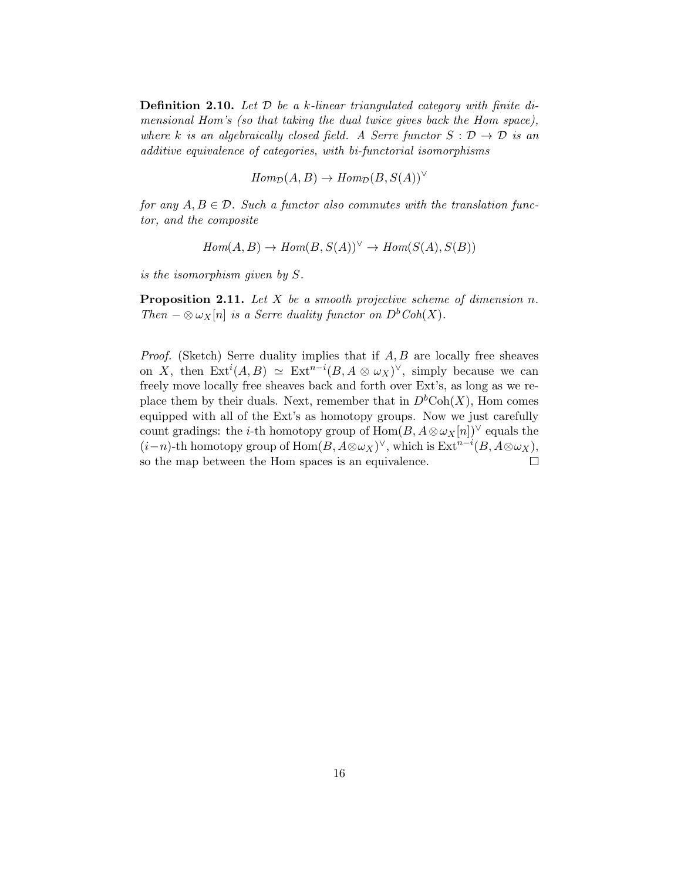**Definition 2.10.** Let  $\mathcal{D}$  be a k-linear triangulated category with finite dimensional Hom's (so that taking the dual twice gives back the Hom space), where k is an algebraically closed field. A Serre functor  $S : \mathcal{D} \to \mathcal{D}$  is an additive equivalence of categories, with bi-functorial isomorphisms

$$
Hom_{\mathcal{D}}(A, B) \to Hom_{\mathcal{D}}(B, S(A))'
$$

for any  $A, B \in \mathcal{D}$ . Such a functor also commutes with the translation functor, and the composite

$$
Hom(A, B) \to Hom(B, S(A))^{\vee} \to Hom(S(A), S(B))
$$

is the isomorphism given by S.

**Proposition 2.11.** Let  $X$  be a smooth projective scheme of dimension n. Then  $-\otimes \omega_X[n]$  is a Serre duality functor on  $D^bCoh(X)$ .

*Proof.* (Sketch) Serre duality implies that if  $A, B$  are locally free sheaves on X, then  $\text{Ext}^i(A, B) \simeq \text{Ext}^{n-i}(B, A \otimes \omega_X)^\vee$ , simply because we can freely move locally free sheaves back and forth over Ext's, as long as we replace them by their duals. Next, remember that in  $D<sup>b</sup>Coh(X)$ , Hom comes equipped with all of the Ext's as homotopy groups. Now we just carefully count gradings: the *i*-th homotopy group of  $\text{Hom}(B, A \otimes \omega_X[n])^\vee$  equals the  $(i-n)$ -th homotopy group of  $\text{Hom}(B, A \otimes \omega_X)^\vee$ , which is  $\text{Ext}^{n-i}(B, A \otimes \omega_X)$ , so the map between the Hom spaces is an equivalence.  $\Box$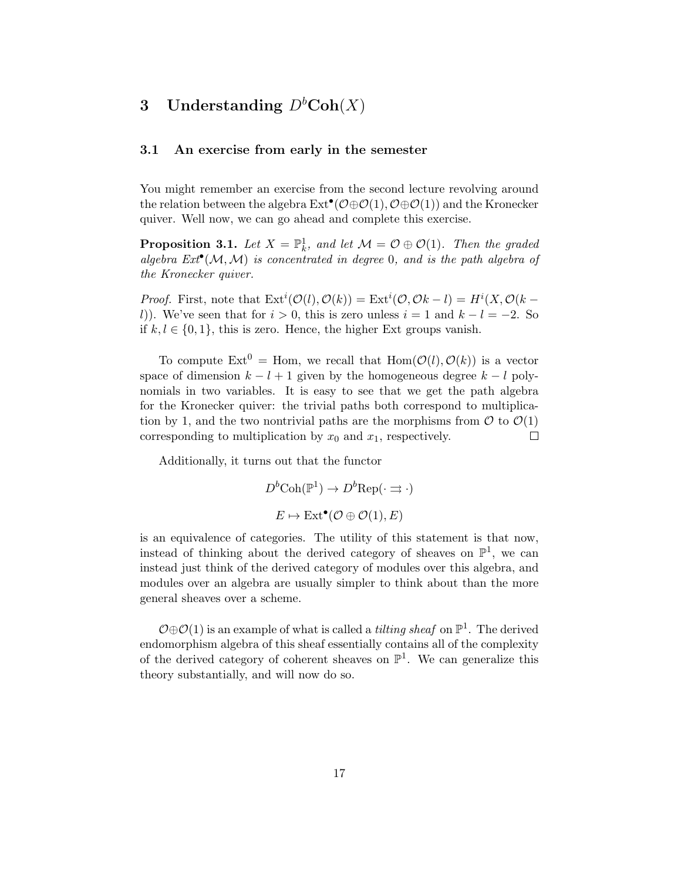# 3 Understanding  $D<sup>b</sup>Coh(X)$

## 3.1 An exercise from early in the semester

You might remember an exercise from the second lecture revolving around the relation between the algebra  $\text{Ext}^{\bullet}(\mathcal{O} \oplus \mathcal{O}(1), \mathcal{O} \oplus \mathcal{O}(1))$  and the Kronecker quiver. Well now, we can go ahead and complete this exercise.

**Proposition 3.1.** Let  $X = \mathbb{P}^1_k$ , and let  $\mathcal{M} = \mathcal{O} \oplus \mathcal{O}(1)$ . Then the graded algebra  $Ext^{\bullet}(\mathcal{M}, \mathcal{M})$  is concentrated in degree 0, and is the path algebra of the Kronecker quiver.

*Proof.* First, note that  $\text{Ext}^i(\mathcal{O}(l), \mathcal{O}(k)) = \text{Ext}^i(\mathcal{O}, \mathcal{O}k-l) = H^i(X, \mathcal{O}(k-l))$ l). We've seen that for  $i > 0$ , this is zero unless  $i = 1$  and  $k - l = -2$ . So if  $k, l \in \{0, 1\}$ , this is zero. Hence, the higher Ext groups vanish.

To compute  $\text{Ext}^0 = \text{Hom}$ , we recall that  $\text{Hom}(\mathcal{O}(l), \mathcal{O}(k))$  is a vector space of dimension  $k - l + 1$  given by the homogeneous degree  $k - l$  polynomials in two variables. It is easy to see that we get the path algebra for the Kronecker quiver: the trivial paths both correspond to multiplication by 1, and the two nontrivial paths are the morphisms from  $\mathcal O$  to  $\mathcal O(1)$ corresponding to multiplication by  $x_0$  and  $x_1$ , respectively.  $\Box$ 

Additionally, it turns out that the functor

 $D^b \text{Coh}(\mathbb{P}^1) \to D^b \text{Rep}(\cdot \rightrightarrows \cdot)$  $E \mapsto \text{Ext}^{\bullet}(\mathcal{O} \oplus \mathcal{O}(1), E)$ 

is an equivalence of categories. The utility of this statement is that now, instead of thinking about the derived category of sheaves on  $\mathbb{P}^1$ , we can instead just think of the derived category of modules over this algebra, and modules over an algebra are usually simpler to think about than the more general sheaves over a scheme.

 $\mathcal{O} \oplus \mathcal{O}(1)$  is an example of what is called a *tilting sheaf* on  $\mathbb{P}^1$ . The derived endomorphism algebra of this sheaf essentially contains all of the complexity of the derived category of coherent sheaves on  $\mathbb{P}^1$ . We can generalize this theory substantially, and will now do so.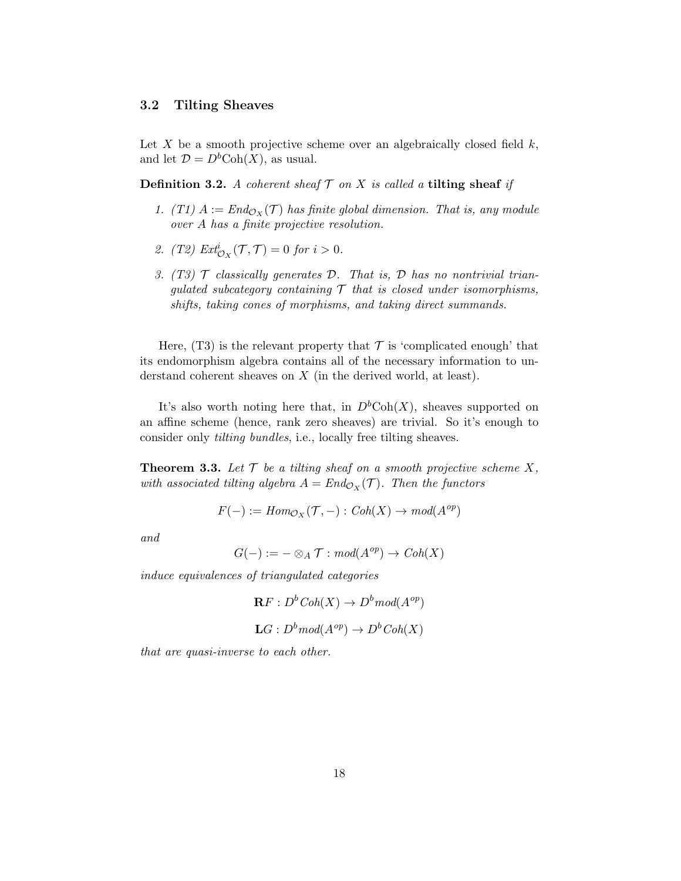## 3.2 Tilting Sheaves

Let X be a smooth projective scheme over an algebraically closed field  $k$ , and let  $\mathcal{D} = D^b \text{Coh}(X)$ , as usual.

**Definition 3.2.** A coherent sheaf  $\mathcal T$  on  $X$  is called a tilting sheaf if

- 1. (T1)  $A := End_{\mathcal{O}_X}(\mathcal{T})$  has finite global dimension. That is, any module over A has a finite projective resolution.
- 2. (T2)  $\mathit{Ext}^i_{\mathcal{O}_X}(\mathcal{T}, \mathcal{T}) = 0$  for  $i > 0$ .
- 3. (T3)  $\mathcal T$  classically generates  $\mathcal D$ . That is,  $\mathcal D$  has no nontrivial trianqulated subcategory containing  $\mathcal T$  that is closed under isomorphisms, shifts, taking cones of morphisms, and taking direct summands.

Here, (T3) is the relevant property that  $\mathcal T$  is 'complicated enough' that its endomorphism algebra contains all of the necessary information to understand coherent sheaves on X (in the derived world, at least).

It's also worth noting here that, in  $D<sup>b</sup>Coh(X)$ , sheaves supported on an affine scheme (hence, rank zero sheaves) are trivial. So it's enough to consider only tilting bundles, i.e., locally free tilting sheaves.

**Theorem 3.3.** Let  $\mathcal{T}$  be a tilting sheaf on a smooth projective scheme X, with associated tilting algebra  $A = End_{\mathcal{O}_X}(\mathcal{T})$ . Then the functors

$$
F(-) := Hom_{\mathcal{O}_X}(\mathcal{T}, -) : Coh(X) \to mod(A^{op})
$$

and

$$
G(-) := - \otimes_A \mathcal{T} : mod(A^{op}) \to Coh(X)
$$

induce equivalences of triangulated categories

$$
\mathbf{R}F: D^bCoh(X) \to D^b \text{mod}(A^{op})
$$
  

$$
\mathbf{L}G: D^b \text{mod}(A^{op}) \to D^b \text{Coh}(X)
$$

that are quasi-inverse to each other.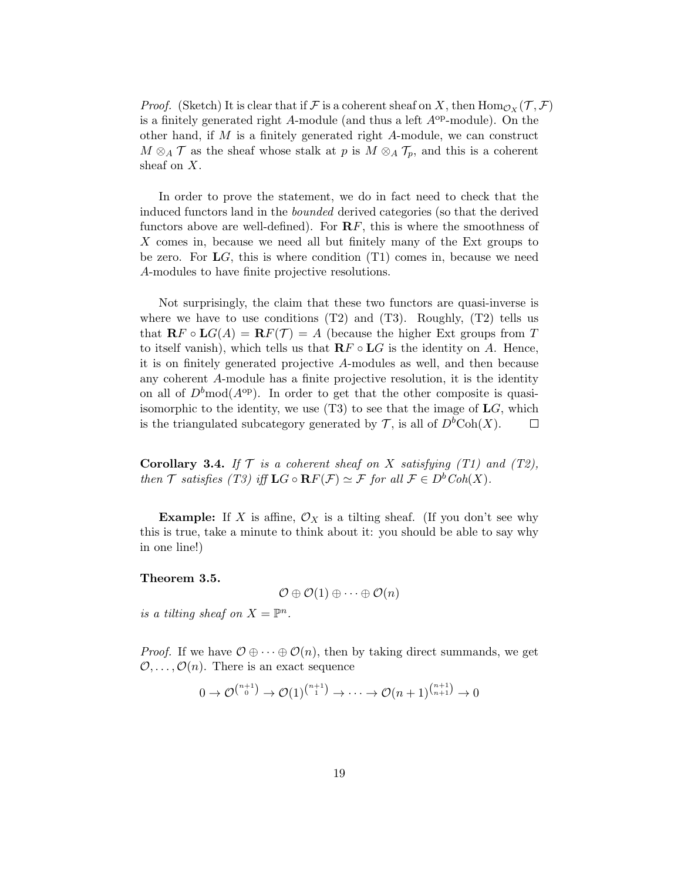*Proof.* (Sketch) It is clear that if F is a coherent sheaf on X, then  $\text{Hom}_{\mathcal{O}_X}(\mathcal{T}, \mathcal{F})$ is a finitely generated right A-module (and thus a left  $A^{op}$ -module). On the other hand, if M is a finitely generated right A-module, we can construct  $M \otimes_A \mathcal{T}$  as the sheaf whose stalk at p is  $M \otimes_A \mathcal{T}_p$ , and this is a coherent sheaf on X.

In order to prove the statement, we do in fact need to check that the induced functors land in the bounded derived categories (so that the derived functors above are well-defined). For  $\mathbf{R} F$ , this is where the smoothness of X comes in, because we need all but finitely many of the Ext groups to be zero. For  $LG$ , this is where condition  $(T1)$  comes in, because we need A-modules to have finite projective resolutions.

Not surprisingly, the claim that these two functors are quasi-inverse is where we have to use conditions  $(T2)$  and  $(T3)$ . Roughly,  $(T2)$  tells us that  $\mathbf{R} F \circ \mathbf{L} G(A) = \mathbf{R} F(\mathcal{T}) = A$  (because the higher Ext groups from T to itself vanish), which tells us that  $\mathbf{R} F \circ \mathbf{L} G$  is the identity on A. Hence, it is on finitely generated projective A-modules as well, and then because any coherent A-module has a finite projective resolution, it is the identity on all of  $D^b \text{mod}(A^{\text{op}})$ . In order to get that the other composite is quasiisomorphic to the identity, we use  $(T3)$  to see that the image of  $LG$ , which is the triangulated subcategory generated by  $\mathcal{T}$ , is all of  $D^b \text{Coh}(X)$ .  $\Box$ 

**Corollary 3.4.** If  $\mathcal T$  is a coherent sheaf on X satisfying (T1) and (T2), then T satisfies (T3) iff  $LG \circ RF(F) \simeq \mathcal{F}$  for all  $\mathcal{F} \in D^bCoh(X)$ .

**Example:** If X is affine,  $\mathcal{O}_X$  is a tilting sheaf. (If you don't see why this is true, take a minute to think about it: you should be able to say why in one line!)

Theorem 3.5.

$$
\mathcal{O}\oplus \mathcal{O}(1)\oplus \cdots \oplus \mathcal{O}(n)
$$

is a tilting sheaf on  $X = \mathbb{P}^n$ .

*Proof.* If we have  $\mathcal{O} \oplus \cdots \oplus \mathcal{O}(n)$ , then by taking direct summands, we get  $\mathcal{O}, \ldots, \mathcal{O}(n)$ . There is an exact sequence

$$
0 \to \mathcal{O}^{n+1 \choose 0} \to \mathcal{O}(1)^{n+1 \choose 1} \to \cdots \to \mathcal{O}(n+1)^{n+1 \choose n+1} \to 0
$$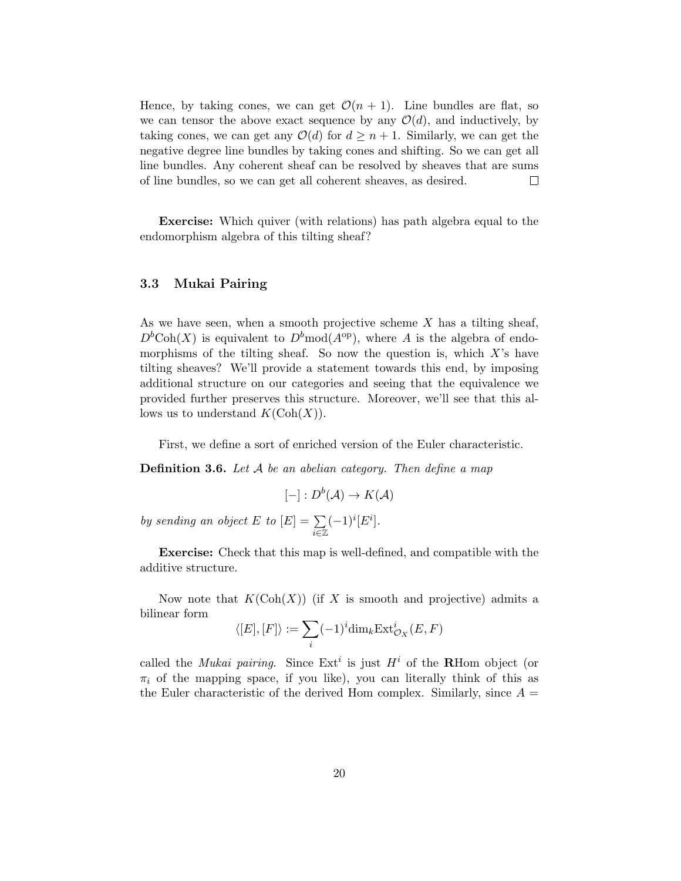Hence, by taking cones, we can get  $\mathcal{O}(n+1)$ . Line bundles are flat, so we can tensor the above exact sequence by any  $\mathcal{O}(d)$ , and inductively, by taking cones, we can get any  $\mathcal{O}(d)$  for  $d \geq n+1$ . Similarly, we can get the negative degree line bundles by taking cones and shifting. So we can get all line bundles. Any coherent sheaf can be resolved by sheaves that are sums of line bundles, so we can get all coherent sheaves, as desired.  $\Box$ 

Exercise: Which quiver (with relations) has path algebra equal to the endomorphism algebra of this tilting sheaf?

## 3.3 Mukai Pairing

As we have seen, when a smooth projective scheme  $X$  has a tilting sheaf,  $D<sup>b</sup>Coh(X)$  is equivalent to  $D<sup>b</sup>mod(A<sup>op</sup>)$ , where A is the algebra of endomorphisms of the tilting sheaf. So now the question is, which  $X$ 's have tilting sheaves? We'll provide a statement towards this end, by imposing additional structure on our categories and seeing that the equivalence we provided further preserves this structure. Moreover, we'll see that this allows us to understand  $K(\text{Coh}(X)).$ 

First, we define a sort of enriched version of the Euler characteristic.

**Definition 3.6.** Let A be an abelian category. Then define a map

$$
[-]: D^b(\mathcal{A}) \to K(\mathcal{A})
$$

by sending an object E to  $|E| = \sum$ i∈Z  $(-1)^i[E^i].$ 

Exercise: Check that this map is well-defined, and compatible with the additive structure.

Now note that  $K(\text{Coh}(X))$  (if X is smooth and projective) admits a bilinear form

$$
\langle [E],[F]\rangle := \sum_i (-1)^i \dim_k \operatorname{Ext}^i_{\mathcal{O}_X}(E,F)
$$

called the *Mukai pairing*. Since  $Ext^i$  is just  $H^i$  of the **R**Hom object (or  $\pi_i$  of the mapping space, if you like), you can literally think of this as the Euler characteristic of the derived Hom complex. Similarly, since  $A =$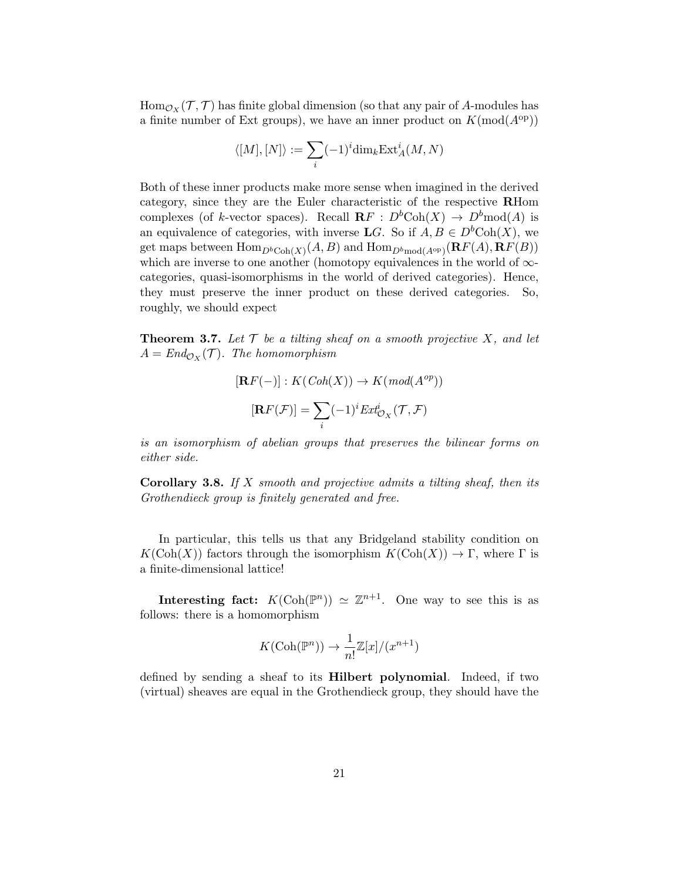$\operatorname{Hom}_{\mathcal{O}_X}(\mathcal{T},\mathcal{T})$  has finite global dimension (so that any pair of A-modules has a finite number of Ext groups), we have an inner product on  $K(\text{mod}(A^{\text{op}}))$ 

$$
\langle [M],[N]\rangle:=\sum_i (-1)^i\mathrm{dim}_k\mathrm{Ext}^i_A(M,N)
$$

Both of these inner products make more sense when imagined in the derived category, since they are the Euler characteristic of the respective RHom complexes (of k-vector spaces). Recall  $\mathbf{R}F : D^b \text{Coh}(X) \to D^b \text{mod}(A)$  is an equivalence of categories, with inverse LG. So if  $A, B \in D^b \text{Coh}(X)$ , we get maps between  $\text{Hom}_{D^b\text{Coh}(X)}(A, B)$  and  $\text{Hom}_{D^b\text{mod}(A^{\text{op}})}(\mathbf{R}F(A), \mathbf{R}F(B))$ which are inverse to one another (homotopy equivalences in the world of  $\infty$ categories, quasi-isomorphisms in the world of derived categories). Hence, they must preserve the inner product on these derived categories. So, roughly, we should expect

**Theorem 3.7.** Let  $\mathcal T$  be a tilting sheaf on a smooth projective X, and let  $A = End_{\mathcal{O}_X}(\mathcal{T})$ . The homomorphism

$$
[\mathbf{R}F(-)] : K(Coh(X)) \to K(mod(A^{op}))
$$

$$
[\mathbf{R}F(\mathcal{F})] = \sum_{i} (-1)^{i} Ext_{\mathcal{O}_X}^{i}(\mathcal{T}, \mathcal{F})
$$

is an isomorphism of abelian groups that preserves the bilinear forms on either side.

**Corollary 3.8.** If  $X$  smooth and projective admits a tilting sheaf, then its Grothendieck group is finitely generated and free.

In particular, this tells us that any Bridgeland stability condition on  $K(\text{Coh}(X))$  factors through the isomorphism  $K(\text{Coh}(X)) \to \Gamma$ , where  $\Gamma$  is a finite-dimensional lattice!

Interesting fact:  $K(\text{Coh}(\mathbb{P}^n)) \simeq \mathbb{Z}^{n+1}$ . One way to see this is as follows: there is a homomorphism

$$
K(\mathrm{Coh}(\mathbb{P}^n)) \to \frac{1}{n!} \mathbb{Z}[x]/(x^{n+1})
$$

defined by sending a sheaf to its Hilbert polynomial. Indeed, if two (virtual) sheaves are equal in the Grothendieck group, they should have the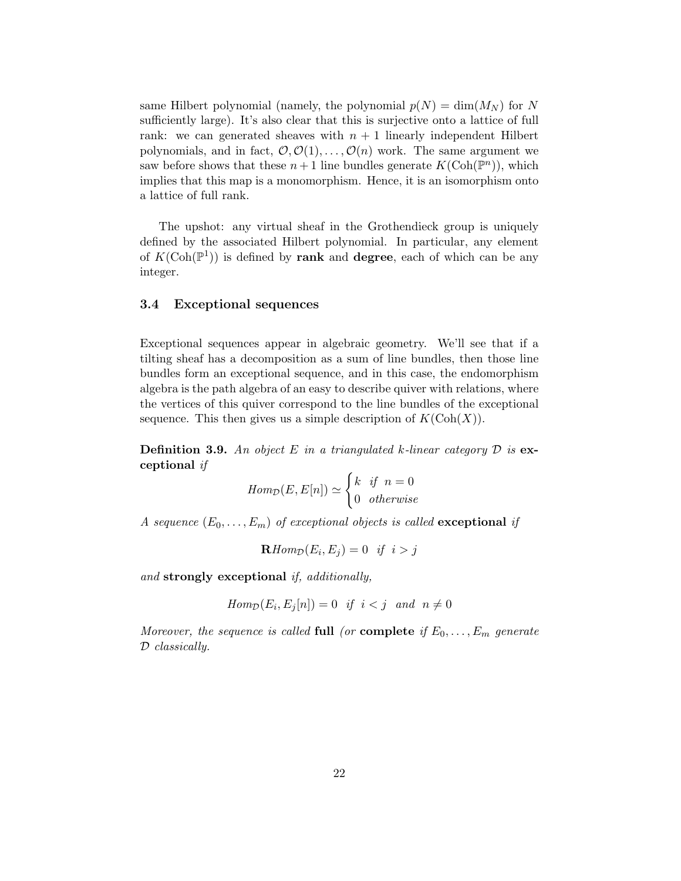same Hilbert polynomial (namely, the polynomial  $p(N) = \dim(M_N)$  for N sufficiently large). It's also clear that this is surjective onto a lattice of full rank: we can generated sheaves with  $n + 1$  linearly independent Hilbert polynomials, and in fact,  $\mathcal{O}, \mathcal{O}(1), \ldots, \mathcal{O}(n)$  work. The same argument we saw before shows that these  $n+1$  line bundles generate  $K(\text{Coh}(\mathbb{P}^n))$ , which implies that this map is a monomorphism. Hence, it is an isomorphism onto a lattice of full rank.

The upshot: any virtual sheaf in the Grothendieck group is uniquely defined by the associated Hilbert polynomial. In particular, any element of  $K(\text{Coh}(\mathbb{P}^1))$  is defined by rank and degree, each of which can be any integer.

## 3.4 Exceptional sequences

Exceptional sequences appear in algebraic geometry. We'll see that if a tilting sheaf has a decomposition as a sum of line bundles, then those line bundles form an exceptional sequence, and in this case, the endomorphism algebra is the path algebra of an easy to describe quiver with relations, where the vertices of this quiver correspond to the line bundles of the exceptional sequence. This then gives us a simple description of  $K(\text{Coh}(X))$ .

**Definition 3.9.** An object E in a triangulated k-linear category  $\mathcal{D}$  is exceptional if

$$
Hom_{\mathcal{D}}(E, E[n]) \simeq \begin{cases} k & \text{if } n = 0 \\ 0 & \text{otherwise} \end{cases}
$$

A sequence  $(E_0, \ldots, E_m)$  of exceptional objects is called **exceptional** if

$$
\mathbf{R}Hom_{\mathcal{D}}(E_i, E_j) = 0 \quad \text{if} \quad i > j
$$

and strongly exceptional if, additionally,

$$
Hom_{\mathcal{D}}(E_i, E_j[n]) = 0 \quad \text{if} \quad i < j \quad \text{and} \quad n \neq 0
$$

Moreover, the sequence is called full (or complete if  $E_0, \ldots, E_m$  generate D classically.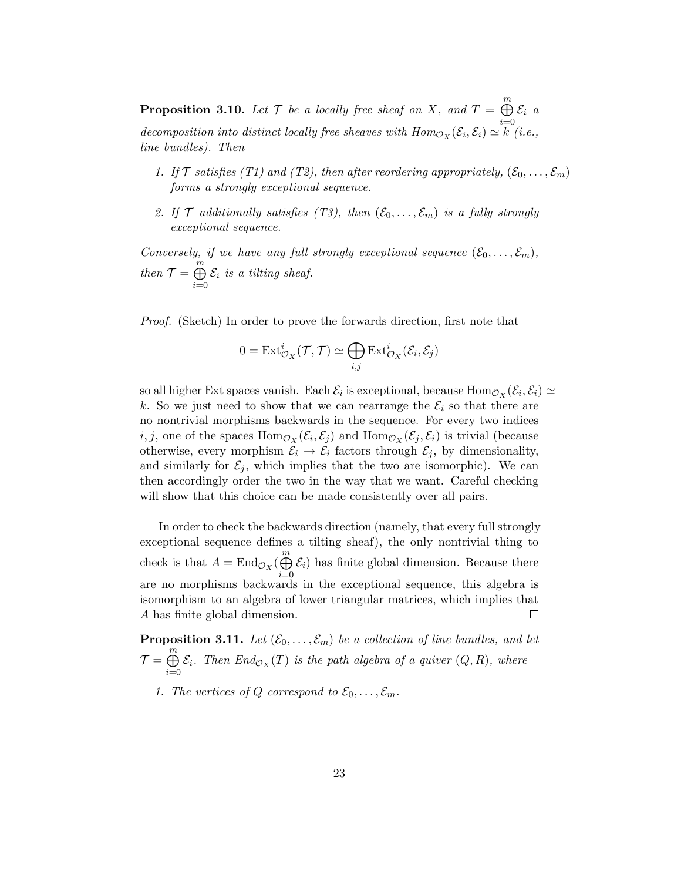**Proposition 3.10.** Let  $\mathcal T$  be a locally free sheaf on X, and  $T = \bigoplus^{m}$  $i=0$  $\mathcal{E}_i$  a decomposition into distinct locally free sheaves with  $Hom_{\mathcal{O}_X}(\mathcal{E}_i, \mathcal{E}_i) \simeq k$  (i.e., line bundles). Then

- 1. If  $\mathcal T$  satisfies (T1) and (T2), then after reordering appropriately,  $(\mathcal E_0, \ldots, \mathcal E_m)$ forms a strongly exceptional sequence.
- 2. If  $\mathcal T$  additionally satisfies (T3), then  $(\mathcal E_0, \ldots, \mathcal E_m)$  is a fully strongly exceptional sequence.

Conversely, if we have any full strongly exceptional sequence  $(\mathcal{E}_0, \ldots, \mathcal{E}_m)$ , then  $\mathcal{T} = \bigoplus^{m}$  $i=0$  $\mathcal{E}_i$  is a tilting sheaf.

Proof. (Sketch) In order to prove the forwards direction, first note that

$$
0 = \text{Ext}^i_{\mathcal{O}_X}(\mathcal{T}, \mathcal{T}) \simeq \bigoplus_{i,j} \text{Ext}^i_{\mathcal{O}_X}(\mathcal{E}_i, \mathcal{E}_j)
$$

so all higher Ext spaces vanish. Each  $\mathcal{E}_i$  is exceptional, because  $\text{Hom}_{\mathcal{O}_X}(\mathcal{E}_i, \mathcal{E}_i) \simeq$ k. So we just need to show that we can rearrange the  $\mathcal{E}_i$  so that there are no nontrivial morphisms backwards in the sequence. For every two indices  $i, j$ , one of the spaces  $\text{Hom}_{\mathcal{O}_X}(\mathcal{E}_i, \mathcal{E}_j)$  and  $\text{Hom}_{\mathcal{O}_X}(\mathcal{E}_j, \mathcal{E}_i)$  is trivial (because otherwise, every morphism  $\mathcal{E}_i \to \mathcal{E}_i$  factors through  $\mathcal{E}_j$ , by dimensionality, and similarly for  $\mathcal{E}_j$ , which implies that the two are isomorphic). We can then accordingly order the two in the way that we want. Careful checking will show that this choice can be made consistently over all pairs.

In order to check the backwards direction (namely, that every full strongly exceptional sequence defines a tilting sheaf), the only nontrivial thing to check is that  $A = \text{End}_{\mathcal{O}_X}(\bigoplus^m)$  $\mathcal{E}_i$ ) has finite global dimension. Because there  $i=0$ are no morphisms backwards in the exceptional sequence, this algebra is isomorphism to an algebra of lower triangular matrices, which implies that A has finite global dimension.  $\Box$ 

**Proposition 3.11.** Let  $(\mathcal{E}_0, \ldots, \mathcal{E}_m)$  be a collection of line bundles, and let  $\mathcal{T} = \bigoplus^m$  $\bigoplus_{i=0}$  E<sub>i</sub>. Then  $End_{\mathcal{O}_X}(T)$  is the path algebra of a quiver  $(Q, R)$ , where

1. The vertices of Q correspond to  $\mathcal{E}_0, \ldots, \mathcal{E}_m$ .